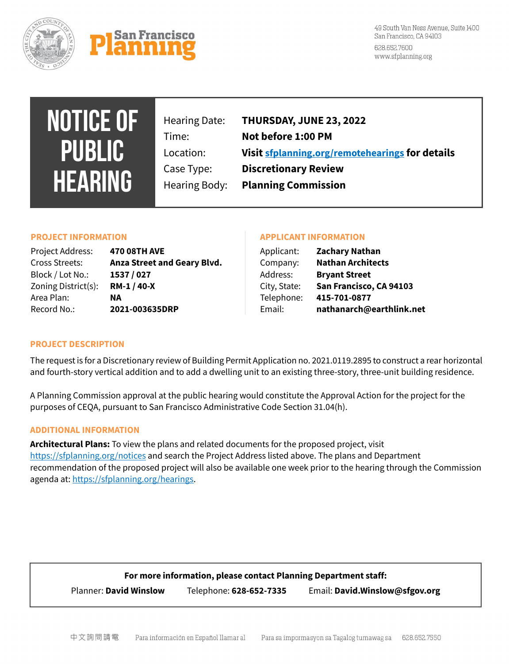



49 South Van Ness Avenue, Suite 1400 San Francisco, CA 94103 628.652.7600 www.sfplanning.org

# **NOTICE OF PUBLIC HEARING**

Hearing Date: **THURSDAY, JUNE 23, 2022** Time: **Not before 1:00 PM** Location: **Visit [sfplanning.org/remotehearings](https://sfplanning.org/remotehearings) for details** Case Type: **Discretionary Review** Hearing Body: **Planning Commission**

| Project Address:    | <b>470 08TH AVE</b>         | Applicant:   | <b>Zachary Nathan</b>    |
|---------------------|-----------------------------|--------------|--------------------------|
| Cross Streets:      | Anza Street and Geary Blvd. | Company:     | <b>Nathan Architects</b> |
| Block / Lot No.:    | 1537 / 027                  | Address:     | <b>Bryant Street</b>     |
| Zoning District(s): | RM-1 / 40-X                 | City, State: | San Francisco, CA 94103  |
| Area Plan:          | NA                          | Telephone:   | 415-701-0877             |
| Record No.:         | 2021-003635DRP              | Email:       | nathanarch@earthlink.net |

# **PROJECT INFORMATION APPLICANT INFORMATION**

| Applicant:   | <b>Zachary Nathan</b>    |  |
|--------------|--------------------------|--|
| Company:     | <b>Nathan Architects</b> |  |
| Address:     | <b>Bryant Street</b>     |  |
| City, State: | San Francisco, CA 94103  |  |
| Telephone:   | 415-701-0877             |  |
| Email:       | nathanarch@earthlink.net |  |
|              |                          |  |

# **PROJECT DESCRIPTION**

The request is for a Discretionary review of Building Permit Application no. 2021.0119.2895 to construct a rear horizontal and fourth-story vertical addition and to add a dwelling unit to an existing three-story, three-unit building residence.

A Planning Commission approval at the public hearing would constitute the Approval Action for the project for the purposes of CEQA, pursuant to San Francisco Administrative Code Section 31.04(h).

# **ADDITIONAL INFORMATION**

**Architectural Plans:** To view the plans and related documents for the proposed project, visit <https://sfplanning.org/notices> and search the Project Address listed above. The plans and Department recommendation of the proposed project will also be available one week prior to the hearing through the Commission agenda at[: https://sfplanning.org/hearings.](https://sfplanning.org/hearings)

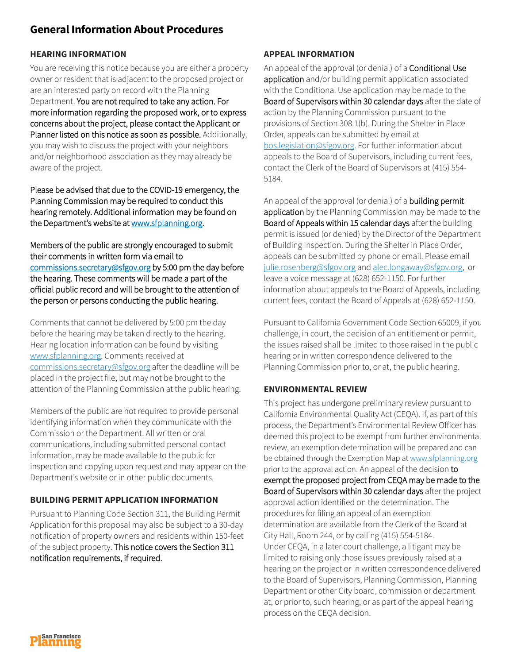# **General Information About Procedures**

# **HEARING INFORMATION**

You are receiving this notice because you are either a property owner or resident that is adjacent to the proposed project or are an interested party on record with the Planning Department. You are not required to take any action. For more information regarding the proposed work, or to express concerns about the project, please contact the Applicant or Planner listed on this notice as soon as possible. Additionally, you may wish to discuss the project with your neighbors and/or neighborhood association as they may already be aware of the project.

Please be advised that due to the COVID-19 emergency, the Planning Commission may be required to conduct this hearing remotely. Additional information may be found on the Department's website at [www.sfplanning.org.](http://www.sfplanning.org/) 

Members of the public are strongly encouraged to submit their comments in written form via email to [commissions.secretary@sfgov.org b](mailto:commissions.secretary@sfgov.org)y 5:00 pm the day before the hearing. These comments will be made a part of the official public record and will be brought to the attention of the person or persons conducting the public hearing.

Comments that cannot be delivered by 5:00 pm the day before the hearing may be taken directly to the hearing. Hearing location information can be found by visiting [www.sfplanning.org.](http://www.sfplanning.org/) Comments received at [commissions.secretary@sfgov.org](mailto:commissions.secretary@sfgov.org) after the deadline will be placed in the project file, but may not be brought to the attention of the Planning Commission at the public hearing.

Members of the public are not required to provide personal identifying information when they communicate with the Commission or the Department. All written or oral communications, including submitted personal contact information, may be made available to the public for inspection and copying upon request and may appear on the Department's website or in other public documents.

# **BUILDING PERMIT APPLICATION INFORMATION**

Pursuant to Planning Code Section 311, the Building Permit Application for this proposal may also be subject to a 30-day notification of property owners and residents within 150-feet of the subject property. This notice covers the Section 311 notification requirements, if required.

# **APPEAL INFORMATION**

An appeal of the approval (or denial) of a Conditional Use application and/or building permit application associated with the Conditional Use application may be made to the Board of Supervisors within 30 calendar days after the date of action by the Planning Commission pursuant to the provisions of Section 308.1(b). During the Shelter in Place Order, appeals can be submitted by email at [bos.legislation@sfgov.org.](mailto:bos.legislation@sfgov.org) For further information about appeals to the Board of Supervisors, including current fees, contact the Clerk of the Board of Supervisors at (415) 554- 5184.

An appeal of the approval (or denial) of a **building permit** application by the Planning Commission may be made to the Board of Appeals within 15 calendar days after the building permit is issued (or denied) by the Director of the Department of Building Inspection. During the Shelter in Place Order, appeals can be submitted by phone or email. Please email [julie.rosenberg@sfgov.org](mailto:julie.rosenberg@sfgov.org) an[d alec.longaway@sfgov.org,](mailto:alec.longaway@sfgov.org) or leave a voice message at (628) 652-1150. For further information about appeals to the Board of Appeals, including current fees, contact the Board of Appeals at (628) 652-1150.

Pursuant to California Government Code Section 65009, if you challenge, in court, the decision of an entitlement or permit, the issues raised shall be limited to those raised in the public hearing or in written correspondence delivered to the Planning Commission prior to, or at, the public hearing.

# **ENVIRONMENTAL REVIEW**

This project has undergone preliminary review pursuant to California Environmental Quality Act (CEQA). If, as part of this process, the Department's Environmental Review Officer has deemed this project to be exempt from further environmental review, an exemption determination will be prepared and can be obtained through the Exemption Map a[t www.sfplanning.org](http://www.sfplanning.org/) prior to the approval action. An appeal of the decision to exempt the proposed project from CEQA may be made to the Board of Supervisors within 30 calendar days after the project approval action identified on the determination. The procedures for filing an appeal of an exemption determination are available from the Clerk of the Board at City Hall, Room 244, or by calling (415) 554-5184. Under CEQA, in a later court challenge, a litigant may be limited to raising only those issues previously raised at a hearing on the project or in written correspondence delivered to the Board of Supervisors, Planning Commission, Planning Department or other City board, commission or department at, or prior to, such hearing, or as part of the appeal hearing process on the CEQA decision.